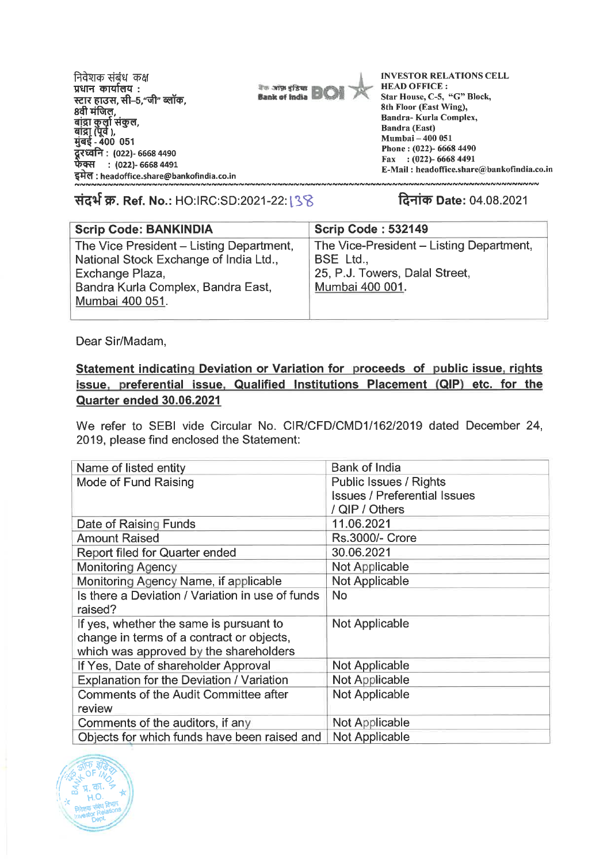**निवेशक संबंध कक्ष** *<u>Ruela and ratio*</u> **स्टार हाउस, सी-5, जी**" ब्लॉक, 8वी मंजिल, <u>बांद्रा कु</u>लो संकुल, बाद्रा (पूप ),<br>मुंबई - 400 051 दूरध्वनि : (022)- 6668 4490<br>फेक्स : (022)- 6668 4491<br>———————————————————— दूरध्वनि : (022)- 6668 4490 **111C1 : headoffice.share@bankofindia.co.in** 



**INVESTOR RELATIONS CELL HEAD OFFICE : Star House, C-5, "G" Block, 8th Floor (East Wing), Bandra- Kurla Complex, Bandra (East) Mumbai — 400 051 Phone : (022)- 6668 4490 Fax : (022)- 6668 4491 E-Mail : headoffice.share@bankofindia.co.in** 

**31-pi W. Ref. No.:** HO:IRC:SD:2021-22: (IS **R.fict) Date:** 04.08.2021

---------------------------------

| <b>Scrip Code: BANKINDIA</b>                                                                                                                                   | <b>Scrip Code: 532149</b>                                                                                  |
|----------------------------------------------------------------------------------------------------------------------------------------------------------------|------------------------------------------------------------------------------------------------------------|
| The Vice President – Listing Department,<br>National Stock Exchange of India Ltd.,<br>Exchange Plaza,<br>Bandra Kurla Complex, Bandra East,<br>Mumbai 400 051. | The Vice-President – Listing Department,<br>BSE Ltd.,<br>25, P.J. Towers, Dalal Street,<br>Mumbai 400 001. |
|                                                                                                                                                                |                                                                                                            |

Dear Sir/Madam,

## **Statement indicating Deviation or Variation for proceeds of public issue, rights issue. preferential issue, Qualified Institutions Placement (QIP) etc. for the Quarter ended 30.06.2021**

We refer to SEBI vide Circular No. CIR/CFD/CMD1/162/2019 dated December 24, 2019, please find enclosed the Statement:

| Name of listed entity                            | Bank of India                       |  |
|--------------------------------------------------|-------------------------------------|--|
|                                                  |                                     |  |
| Mode of Fund Raising                             | Public Issues / Rights              |  |
|                                                  | <b>Issues / Preferential Issues</b> |  |
|                                                  | / QIP / Others                      |  |
| Date of Raising Funds                            | 11.06.2021                          |  |
| <b>Amount Raised</b>                             | <b>Rs.3000/- Crore</b>              |  |
| Report filed for Quarter ended                   | 30.06.2021                          |  |
| <b>Monitoring Agency</b>                         | Not Applicable                      |  |
| Monitoring Agency Name, if applicable            | Not Applicable                      |  |
| Is there a Deviation / Variation in use of funds | No.                                 |  |
| raised?                                          |                                     |  |
| If yes, whether the same is pursuant to          | <b>Not Applicable</b>               |  |
| change in terms of a contract or objects,        |                                     |  |
|                                                  |                                     |  |
| which was approved by the shareholders           |                                     |  |
| If Yes, Date of shareholder Approval             | <b>Not Applicable</b>               |  |
| Explanation for the Deviation / Variation        | Not Applicable                      |  |
| <b>Comments of the Audit Committee after</b>     | <b>Not Applicable</b>               |  |
| review                                           |                                     |  |
| Comments of the auditors, if any                 | <b>Not Applicable</b>               |  |
| Objects for which funds have been raised and     | <b>Not Applicable</b>               |  |